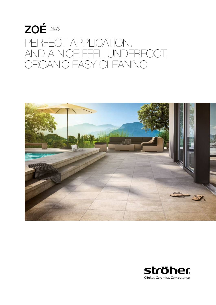# ZOÉ ZOÉ PERFECT APPLICATION. AND A NICE FEEL UNDERFOOT. ORGANIC EASY CLEANING.



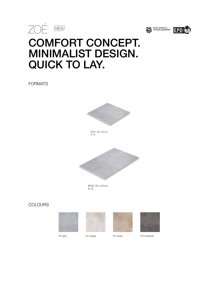





# COMFORT CONCEPT. MINIMALIST DESIGN. QUICK TO LAY.

FORMATS



8031, 30 x 30 cm R 10



8045, 30 x 45 cm R 10

### **COLOURS**









er 970 grey 1971 greige 1972 taupe 972 taupe 973 anthracite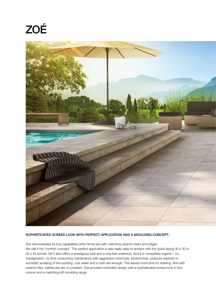# ZOÉ



#### SOPHISTICATED SCREED LOOK WITH PERFECT APPLICATION AND A MOULDING-CONCEPT.

Zoé demonstrates its true capabilities when firmly laid with matching ceramic stairs and edges. We call it the "comfort concept". This perfect application is also really easy to achieve with the quick-laying 30 x 30 or 30 x 45 format. Yet it also offers a prestigious look and a nice feel underfoot. And it is completely organic – no impregnation, no time-consuming maintenance with aggressive chemicals, blowtorches, pressure washers or acrobatic scraping of the pointing. Just water and a cloth are enough. This leaves more time for relaxing. And with ceramic tiles, barbecues are no problem. Zoe provides minimalist design with a sophisticated screed look in four colours and a matching loft moulding range.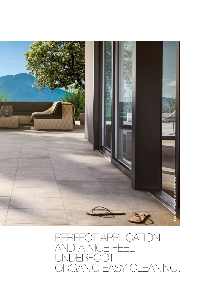

### PERFECT APPLICATION. AND A NICE FEEL UNDERFOOT. ORGANIC EASY CLEANING.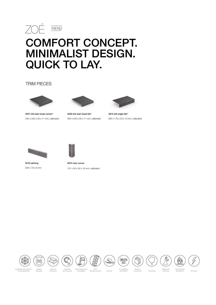# ZOÉ COMFORT CONCEPT. MINIMALIST DESIGN. QUICK TO LAY.

### TRIM PIECES



9441 loft stair tread corner® 340 x 340 x 35 x 11 mm, calibrated



9430 loft stair tread tile® 294 x 340 x 35 x 11 mm, calibrated



4815 loft angle tile® 294 x 175 x 52 x 10 mm, calibrated



8102 skirting 294 x 73 x 8 mm



9010 riser corner 157 x 52 x 52 x 10 mm, calibrated







Abra









Completely frost-resistant

Ströher

3.C

Easy maintenance and hygienic

and colourfast and hygienic Abrasion resistant Anti-slip with DIN EN accessories Ecofriendly

In compliance with DIN EN Anti-slip accessories

Variety of

N)

Resistant to chemicals

Glow-resistant



\*25 year guarantee

hard glaze

trim pieces

Fade-free